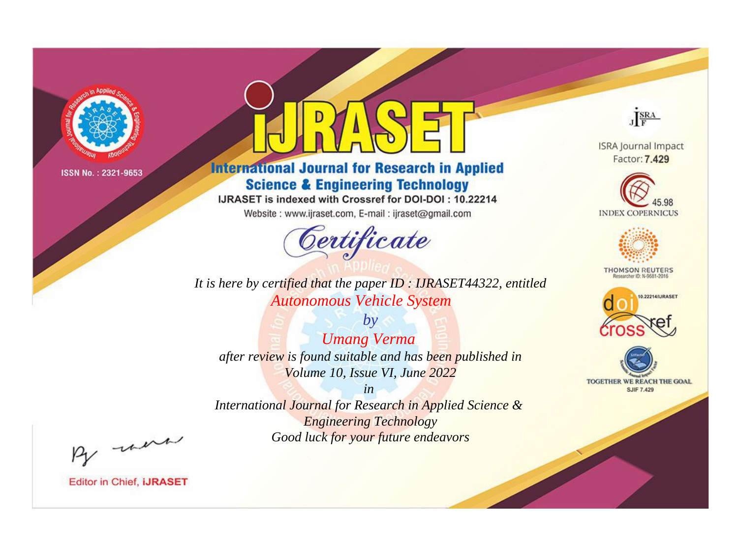

# **International Journal for Research in Applied Science & Engineering Technology**

IJRASET is indexed with Crossref for DOI-DOI: 10.22214

Website: www.ijraset.com, E-mail: ijraset@gmail.com



JERA **ISRA Journal Impact** 

Factor: 7.429

**INDEX COPERNICUS** 



**THOMSON REUTERS** 



TOGETHER WE REACH THE GOAL **SJIF 7.429** 

*It is here by certified that the paper ID : IJRASET44322, entitled Autonomous Vehicle System*

*by Umang Verma after review is found suitable and has been published in Volume 10, Issue VI, June 2022*

*in* 

*International Journal for Research in Applied Science & Engineering Technology Good luck for your future endeavors*

By morn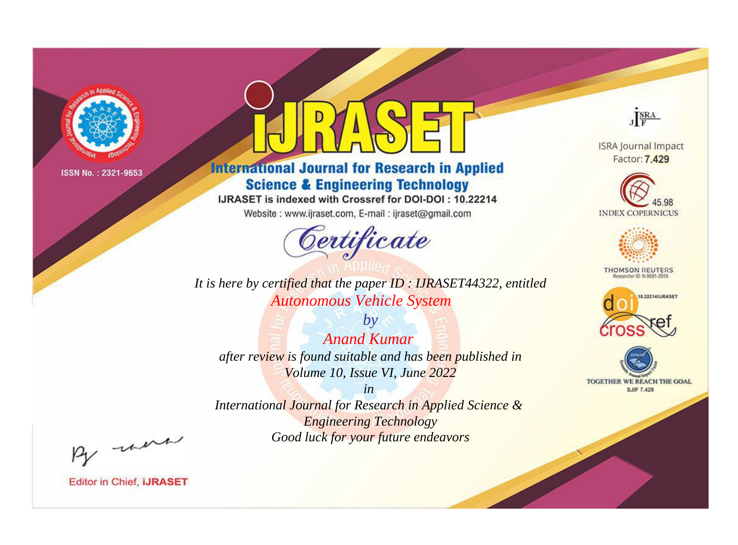

# **International Journal for Research in Applied Science & Engineering Technology**

IJRASET is indexed with Crossref for DOI-DOI: 10.22214

Website: www.ijraset.com, E-mail: ijraset@gmail.com



**ISRA Journal Impact** Factor: 7.429

JERA





**THOMSON REUTERS** 



TOGETHER WE REACH THE GOAL **SJIF 7.429** 

It is here by certified that the paper ID: IJRASET44322, entitled **Autonomous Vehicle System** 

 $by$ **Anand Kumar** after review is found suitable and has been published in Volume 10, Issue VI, June 2022

 $in$ International Journal for Research in Applied Science & **Engineering Technology** Good luck for your future endeavors

By morn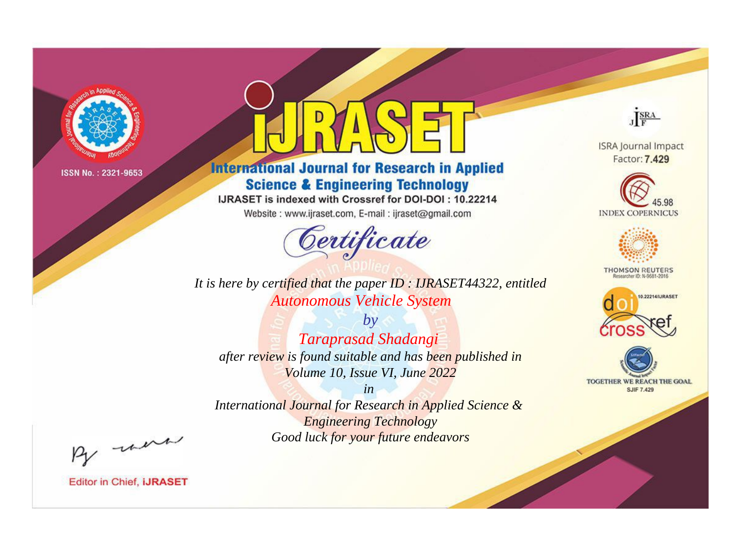

# **International Journal for Research in Applied Science & Engineering Technology**

IJRASET is indexed with Crossref for DOI-DOI: 10.22214

Website: www.ijraset.com, E-mail: ijraset@gmail.com



JERA

**ISRA Journal Impact** Factor: 7.429





**THOMSON REUTERS** 



TOGETHER WE REACH THE GOAL **SJIF 7.429** 

*It is here by certified that the paper ID : IJRASET44322, entitled Autonomous Vehicle System*

*by Taraprasad Shadangi after review is found suitable and has been published in Volume 10, Issue VI, June 2022*

*in* 

*International Journal for Research in Applied Science & Engineering Technology Good luck for your future endeavors*

By morn